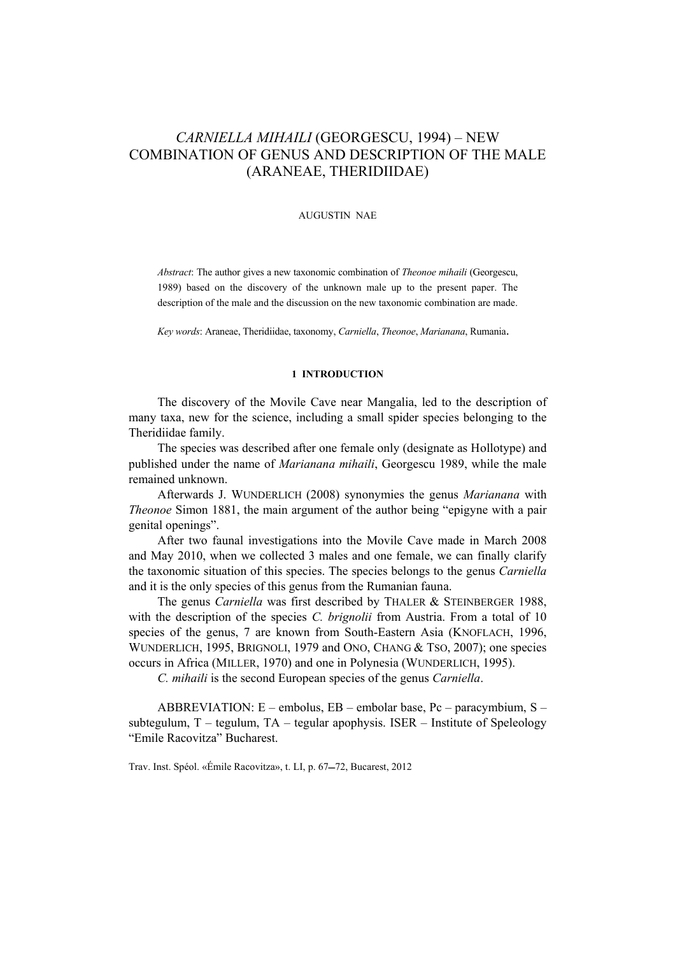# *CARNIELLA MIHAILI* (GEORGESCU, 1994) – NEW COMBINATION OF GENUS AND DESCRIPTION OF THE MALE (ARANEAE, THERIDIIDAE)

#### AUGUSTIN NAE

*Abstract*: The author gives a new taxonomic combination of *Theonoe mihaili* (Georgescu, 1989) based on the discovery of the unknown male up to the present paper. The description of the male and the discussion on the new taxonomic combination are made.

*Key words*: Araneae, Theridiidae, taxonomy, *Carniella*, *Theonoe*, *Marianana*, Rumania.

## **1 INTRODUCTION**

The discovery of the Movile Cave near Mangalia, led to the description of many taxa, new for the science, including a small spider species belonging to the Theridiidae family.

The species was described after one female only (designate as Hollotype) and published under the name of *Marianana mihaili*, Georgescu 1989, while the male remained unknown.

Afterwards J. WUNDERLICH (2008) synonymies the genus *Marianana* with *Theonoe* Simon 1881, the main argument of the author being "epigyne with a pair genital openings".

After two faunal investigations into the Movile Cave made in March 2008 and May 2010, when we collected 3 males and one female, we can finally clarify the taxonomic situation of this species. The species belongs to the genus *Carniella* and it is the only species of this genus from the Rumanian fauna.

The genus *Carniella* was first described by THALER & STEINBERGER 1988, with the description of the species *C. brignolii* from Austria. From a total of 10 species of the genus, 7 are known from South-Eastern Asia (KNOFLACH, 1996, WUNDERLICH, 1995, BRIGNOLI, 1979 and ONO, CHANG & TSO, 2007); one species occurs in Africa (MILLER, 1970) and one in Polynesia (WUNDERLICH, 1995).

*C. mihaili* is the second European species of the genus *Carniella*.

ABBREVIATION: E – embolus, EB – embolar base, Pc – paracymbium, S – subtegulum, T – tegulum, TA – tegular apophysis. ISER – Institute of Speleology "Emile Racovitza" Bucharest.

Trav. Inst. Spéol. «Émile Racovitza», t. LI, p. 67-72, Bucarest, 2012.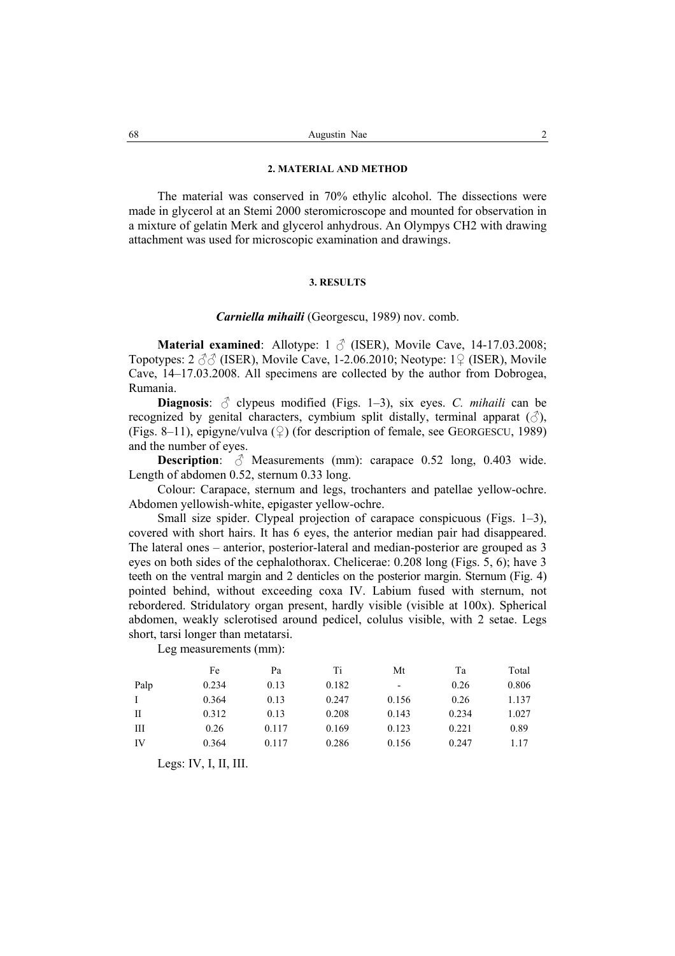### **2. MATERIAL AND METHOD**

The material was conserved in 70% ethylic alcohol. The dissections were made in glycerol at an Stemi 2000 steromicroscope and mounted for observation in a mixture of gelatin Merk and glycerol anhydrous. An Olympys CH2 with drawing attachment was used for microscopic examination and drawings.

#### **3. RESULTS**

## *Carniella mihaili* (Georgescu, 1989) nov. comb.

**Material examined**: Allotype: 1 **♂** (ISER), Movile Cave, 14-17.03.2008; Topotypes: 2 **♂♂** (ISER), Movile Cave, 1-2.06.2010; Neotype: 1♀ (ISER), Movile Cave, 14–17.03.2008. All specimens are collected by the author from Dobrogea, Rumania.

**Diagnosis**: **♂** clypeus modified (Figs. 1–3), six eyes. *C. mihaili* can be recognized by genital characters, cymbium split distally, terminal apparat  $(\text{d})$ , (Figs. 8–11), epigyne/vulva  $(\circ)$  (for description of female, see GEORGESCU, 1989) and the number of eyes.

**Description**:  $\delta$  Measurements (mm): carapace 0.52 long, 0.403 wide. Length of abdomen 0.52, sternum 0.33 long.

Colour: Carapace, sternum and legs, trochanters and patellae yellow-ochre. Abdomen yellowish-white, epigaster yellow-ochre.

Small size spider. Clypeal projection of carapace conspicuous (Figs. 1–3), covered with short hairs. It has 6 eyes, the anterior median pair had disappeared. The lateral ones – anterior, posterior-lateral and median-posterior are grouped as 3 eyes on both sides of the cephalothorax. Chelicerae: 0.208 long (Figs. 5, 6); have 3 teeth on the ventral margin and 2 denticles on the posterior margin. Sternum (Fig. 4) pointed behind, without exceeding coxa IV. Labium fused with sternum, not rebordered. Stridulatory organ present, hardly visible (visible at 100x). Spherical abdomen, weakly sclerotised around pedicel, colulus visible, with 2 setae. Legs short, tarsi longer than metatarsi.

Leg measurements (mm):

|              | Fe    | Pa    | Ti    | Mt    | Тa    | Total |
|--------------|-------|-------|-------|-------|-------|-------|
| Palp         | 0.234 | 0.13  | 0.182 | -     | 0.26  | 0.806 |
| $\mathbf{I}$ | 0.364 | 0.13  | 0.247 | 0.156 | 0.26  | 1.137 |
| П            | 0.312 | 0.13  | 0.208 | 0.143 | 0.234 | 1.027 |
| Ш            | 0.26  | 0.117 | 0.169 | 0.123 | 0.221 | 0.89  |
| IV           | 0.364 | 0.117 | 0.286 | 0.156 | 0.247 | 1.17  |

Legs: IV, I, II, III.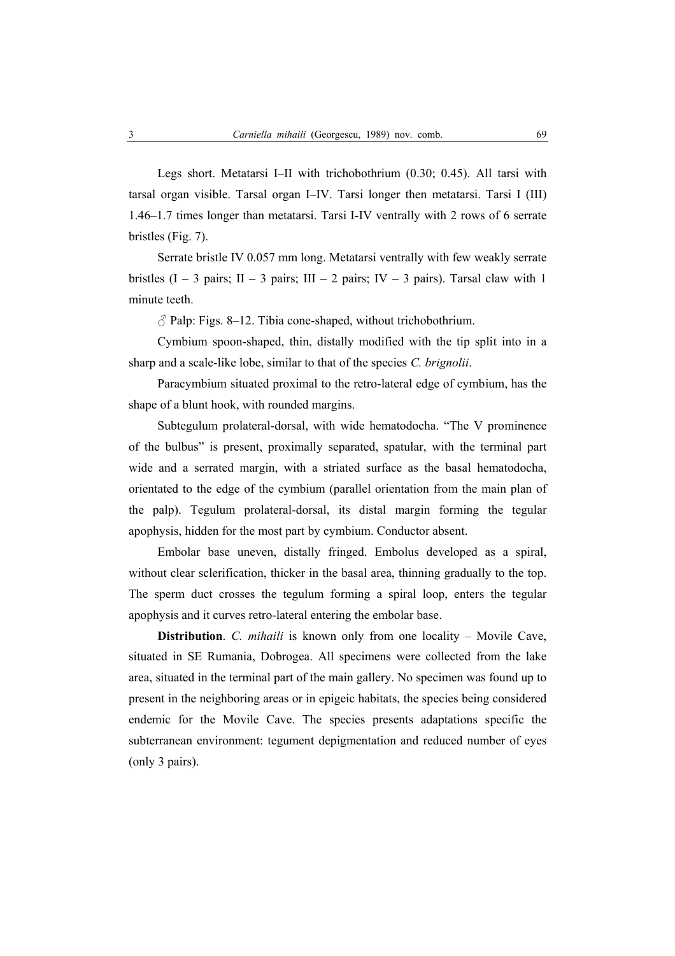Legs short. Metatarsi I–II with trichobothrium (0.30; 0.45). All tarsi with tarsal organ visible. Tarsal organ I–IV. Tarsi longer then metatarsi. Tarsi I (III) 1.46–1.7 times longer than metatarsi. Tarsi I-IV ventrally with 2 rows of 6 serrate bristles (Fig. 7).

Serrate bristle IV 0.057 mm long. Metatarsi ventrally with few weakly serrate bristles  $(I - 3$  pairs;  $II - 3$  pairs;  $III - 2$  pairs;  $IV - 3$  pairs). Tarsal claw with 1 minute teeth.

 $\beta$  Palp: Figs. 8–12. Tibia cone-shaped, without trichobothrium.

Cymbium spoon-shaped, thin, distally modified with the tip split into in a sharp and a scale-like lobe, similar to that of the species *C. brignolii*.

Paracymbium situated proximal to the retro-lateral edge of cymbium, has the shape of a blunt hook, with rounded margins.

Subtegulum prolateral-dorsal, with wide hematodocha. "The V prominence of the bulbus" is present, proximally separated, spatular, with the terminal part wide and a serrated margin, with a striated surface as the basal hematodocha, orientated to the edge of the cymbium (parallel orientation from the main plan of the palp). Tegulum prolateral-dorsal, its distal margin forming the tegular apophysis, hidden for the most part by cymbium. Conductor absent.

Embolar base uneven, distally fringed. Embolus developed as a spiral, without clear sclerification, thicker in the basal area, thinning gradually to the top. The sperm duct crosses the tegulum forming a spiral loop, enters the tegular apophysis and it curves retro-lateral entering the embolar base.

**Distribution**. *C. mihaili* is known only from one locality – Movile Cave, situated in SE Rumania, Dobrogea. All specimens were collected from the lake area, situated in the terminal part of the main gallery. No specimen was found up to present in the neighboring areas or in epigeic habitats, the species being considered endemic for the Movile Cave. The species presents adaptations specific the subterranean environment: tegument depigmentation and reduced number of eyes (only 3 pairs).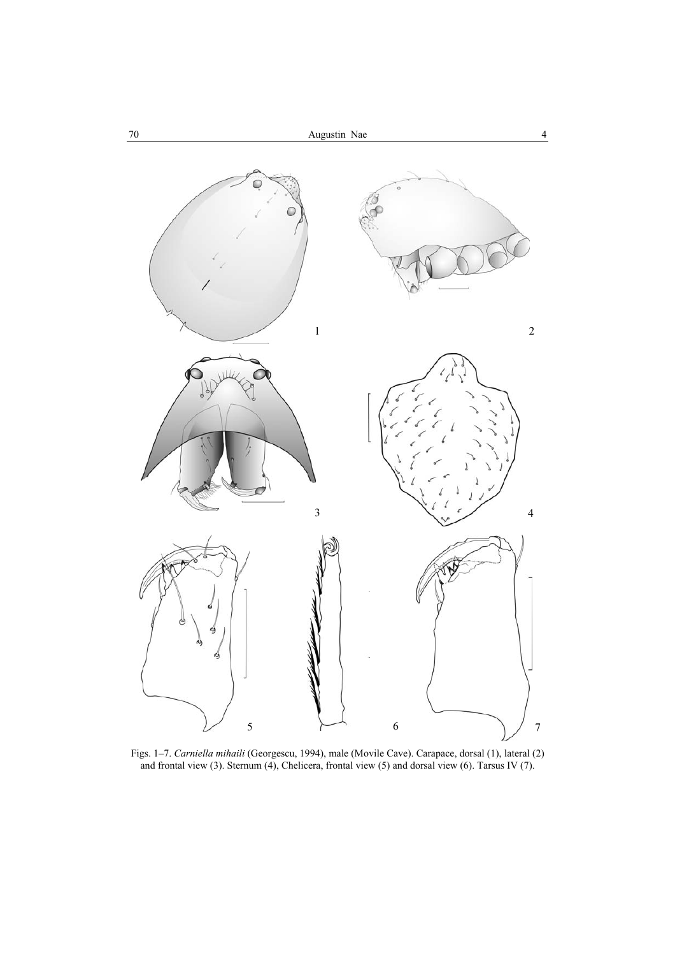

Figs. 1–7. *Carniella mihaili* (Georgescu, 1994), male (Movile Cave). Carapace, dorsal (1), lateral (2) and frontal view (3). Sternum (4), Chelicera, frontal view (5) and dorsal view (6). Tarsus IV (7).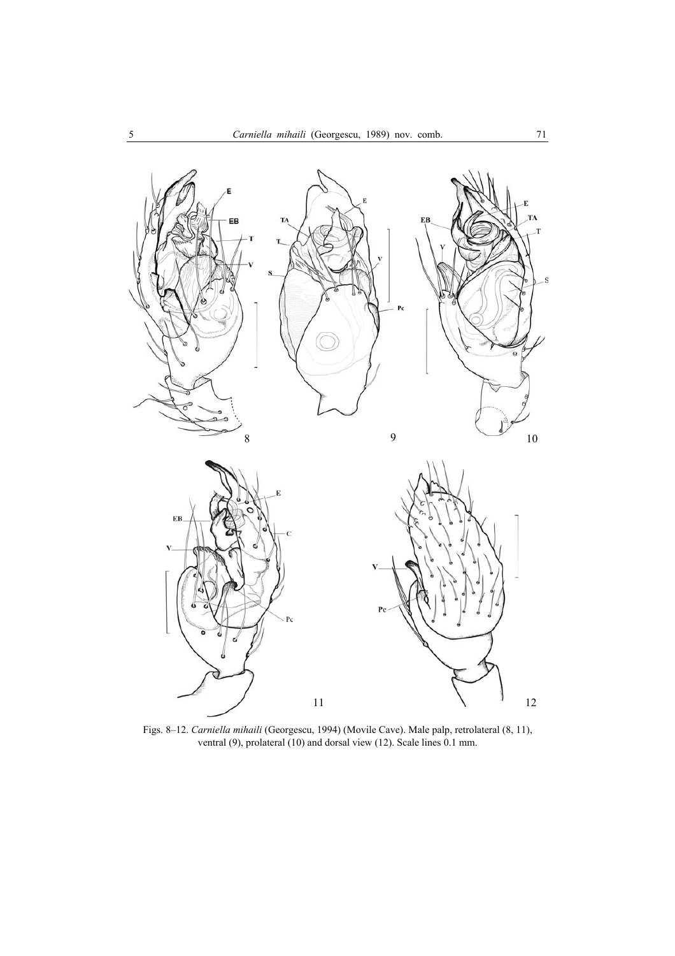

Figs. 8–12. *Carniella mihaili* (Georgescu, 1994) (Movile Cave). Male palp, retrolateral (8, 11), ventral (9), prolateral (10) and dorsal view (12). Scale lines 0.1 mm.